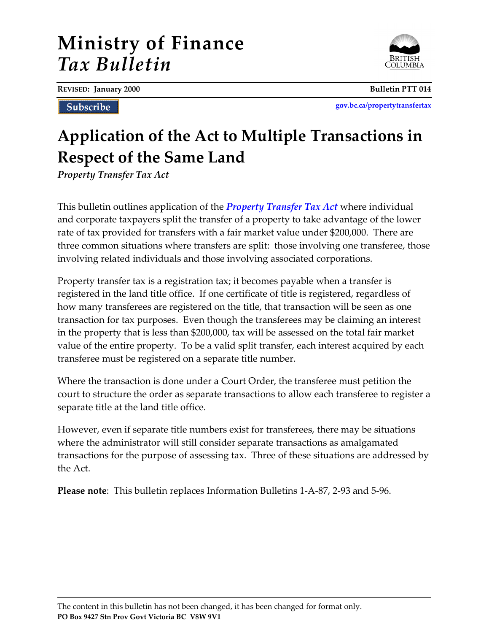# **Ministry of Finance** *Tax Bulletin*

**REVISED: January 2000 Bulletin PTT 014**

**Subscribe** 

**[gov.bc.ca/propertytransfertax](http://www.gov.bc.ca/propertytransfertax)**

# **Application of the Act to Multiple Transactions in Respect of the Same Land**

*Property Transfer Tax Act*

This bulletin outlines application of the *[Property Transfer Tax Act](http://www.bclaws.ca/EPLibraries/bclaws_new/document/ID/freeside/00_96378_01)* where individual and corporate taxpayers split the transfer of a property to take advantage of the lower rate of tax provided for transfers with a fair market value under \$200,000. There are three common situations where transfers are split: those involving one transferee, those involving related individuals and those involving associated corporations.

Property transfer tax is a registration tax; it becomes payable when a transfer is registered in the land title office. If one certificate of title is registered, regardless of how many transferees are registered on the title, that transaction will be seen as one transaction for tax purposes. Even though the transferees may be claiming an interest in the property that is less than \$200,000, tax will be assessed on the total fair market value of the entire property. To be a valid split transfer, each interest acquired by each transferee must be registered on a separate title number.

Where the transaction is done under a Court Order, the transferee must petition the court to structure the order as separate transactions to allow each transferee to register a separate title at the land title office.

However, even if separate title numbers exist for transferees, there may be situations where the administrator will still consider separate transactions as amalgamated transactions for the purpose of assessing tax. Three of these situations are addressed by the Act.

**Please note**: This bulletin replaces Information Bulletins 1-A-87, 2-93 and 5-96.

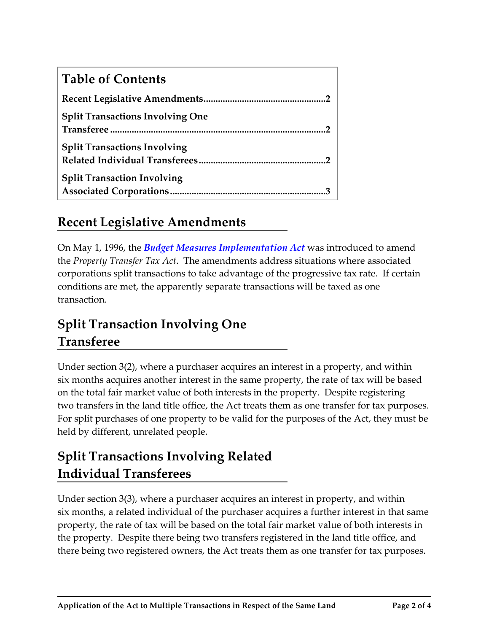| <b>Table of Contents</b>                |
|-----------------------------------------|
|                                         |
| <b>Split Transactions Involving One</b> |
| <b>Split Transactions Involving</b>     |
| <b>Split Transaction Involving</b>      |

### **Recent Legislative Amendments**

On May 1, 1996, the *[Budget Measures Implementation Act](https://www.leg.bc.ca/pages/bclass-legacy.aspx#/content/legacy/web/35th5th/1st_read/gov02-1.htm)* was introduced to amend the *Property Transfer Tax Act*. The amendments address situations where associated corporations split transactions to take advantage of the progressive tax rate. If certain conditions are met, the apparently separate transactions will be taxed as one transaction.

## **Split Transaction Involving One Transferee**

Under section 3(2), where a purchaser acquires an interest in a property, and within six months acquires another interest in the same property, the rate of tax will be based on the total fair market value of both interests in the property. Despite registering two transfers in the land title office, the Act treats them as one transfer for tax purposes. For split purchases of one property to be valid for the purposes of the Act, they must be held by different, unrelated people.

## **Split Transactions Involving Related Individual Transferees**

Under section 3(3), where a purchaser acquires an interest in property, and within six months, a related individual of the purchaser acquires a further interest in that same property, the rate of tax will be based on the total fair market value of both interests in the property. Despite there being two transfers registered in the land title office, and there being two registered owners, the Act treats them as one transfer for tax purposes.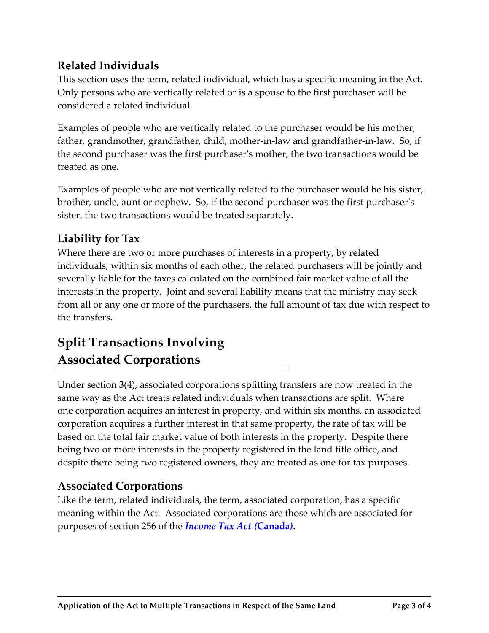#### **Related Individuals**

This section uses the term, related individual, which has a specific meaning in the Act. Only persons who are vertically related or is a spouse to the first purchaser will be considered a related individual.

Examples of people who are vertically related to the purchaser would be his mother, father, grandmother, grandfather, child, mother-in-law and grandfather-in-law. So, if the second purchaser was the first purchaser's mother, the two transactions would be treated as one.

Examples of people who are not vertically related to the purchaser would be his sister, brother, uncle, aunt or nephew. So, if the second purchaser was the first purchaser's sister, the two transactions would be treated separately.

#### **Liability for Tax**

Where there are two or more purchases of interests in a property, by related individuals, within six months of each other, the related purchasers will be jointly and severally liable for the taxes calculated on the combined fair market value of all the interests in the property. Joint and several liability means that the ministry may seek from all or any one or more of the purchasers, the full amount of tax due with respect to the transfers.

### **Split Transactions Involving Associated Corporations**

Under section 3(4), associated corporations splitting transfers are now treated in the same way as the Act treats related individuals when transactions are split. Where one corporation acquires an interest in property, and within six months, an associated corporation acquires a further interest in that same property, the rate of tax will be based on the total fair market value of both interests in the property. Despite there being two or more interests in the property registered in the land title office, and despite there being two registered owners, they are treated as one for tax purposes.

#### **Associated Corporations**

Like the term, related individuals, the term, associated corporation, has a specific meaning within the Act. Associated corporations are those which are associated for purposes of section 256 of the *[Income Tax Act \(](http://laws-lois.justice.gc.ca/eng/acts/i-3.3/)***Canada***)***.**